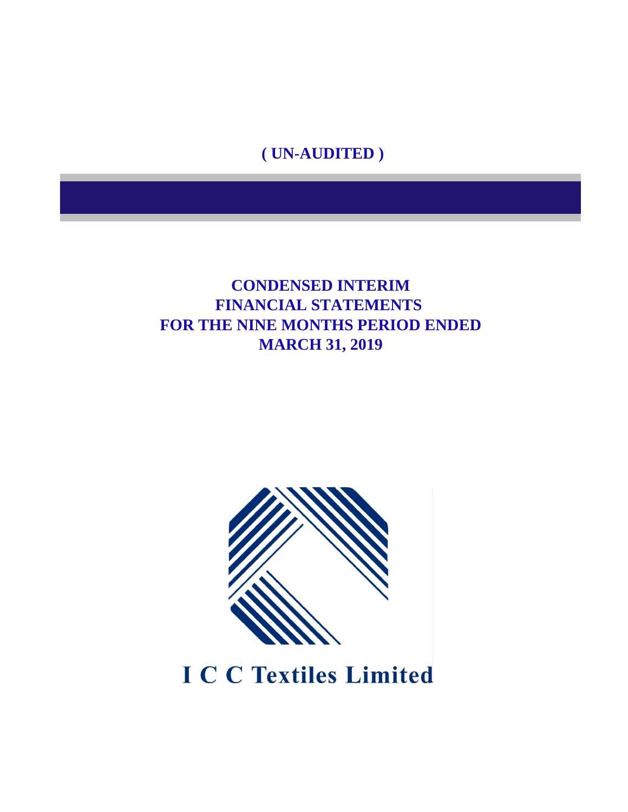**( UN-AUDITED )**

### **FINANCIAL STATEMENTS FOR THE NINE MONTHS PERIOD ENDED MARCH 31, 2019 CONDENSED INTERIM**



**I C C Textiles Limited**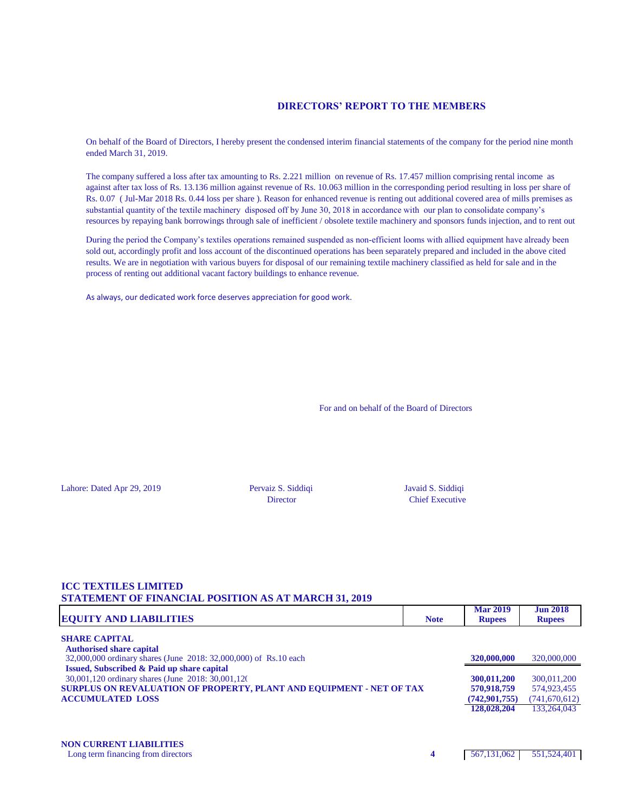#### **DIRECTORS' REPORT TO THE MEMBERS**

On behalf of the Board of Directors, I hereby present the condensed interim financial statements of the company for the period nine month ended March 31, 2019.

The company suffered a loss after tax amounting to Rs. 2.221 million on revenue of Rs. 17.457 million comprising rental income as against after tax loss of Rs. 13.136 million against revenue of Rs. 10.063 million in the corresponding period resulting in loss per share of Rs. 0.07 ( Jul-Mar 2018 Rs. 0.44 loss per share ). Reason for enhanced revenue is renting out additional covered area of mills premises as substantial quantity of the textile machinery disposed off by June 30, 2018 in accordance with our plan to consolidate company's resources by repaying bank borrowings through sale of inefficient / obsolete textile machinery and sponsors funds injection, and to rent out

During the period the Company's textiles operations remained suspended as non-efficient looms with allied equipment have already been sold out, accordingly profit and loss account of the discontinued operations has been separately prepared and included in the above cited results. We are in negotiation with various buyers for disposal of our remaining textile machinery classified as held for sale and in the process of renting out additional vacant factory buildings to enhance revenue.

As always, our dedicated work force deserves appreciation for good work.

For and on behalf of the Board of Directors

Lahore: Dated Apr 29, 2019 Pervaiz S. Siddiqi Javaid S. Siddiqi

Director Chief Executive

#### **ICC TEXTILES LIMITED STATEMENT OF FINANCIAL POSITION AS AT MARCH 31, 2019**

| <b>EQUITY AND LIABILITIES</b>                                        | <b>Note</b> | <b>Mar 2019</b><br><b>Rupees</b> | <b>Jun 2018</b><br><b>Rupees</b> |
|----------------------------------------------------------------------|-------------|----------------------------------|----------------------------------|
| <b>SHARE CAPITAL</b>                                                 |             |                                  |                                  |
| <b>Authorised share capital</b>                                      |             |                                  |                                  |
| 32,000,000 ordinary shares (June 2018: 32,000,000) of Rs.10 each     |             | 320,000,000                      | 320,000,000                      |
| <b>Issued, Subscribed &amp; Paid up share capital</b>                |             |                                  |                                  |
| 30,001,120 ordinary shares (June 2018: 30,001,120)                   |             | 300,011,200                      | 300,011,200                      |
| SURPLUS ON REVALUATION OF PROPERTY, PLANT AND EQUIPMENT - NET OF TAX |             | 570,918,759                      | 574,923,455                      |
| <b>ACCUMULATED LOSS</b>                                              |             | (742, 901, 755)                  | (741,670,612)                    |
|                                                                      |             | 128,028,204                      | 133,264,043                      |
|                                                                      |             |                                  |                                  |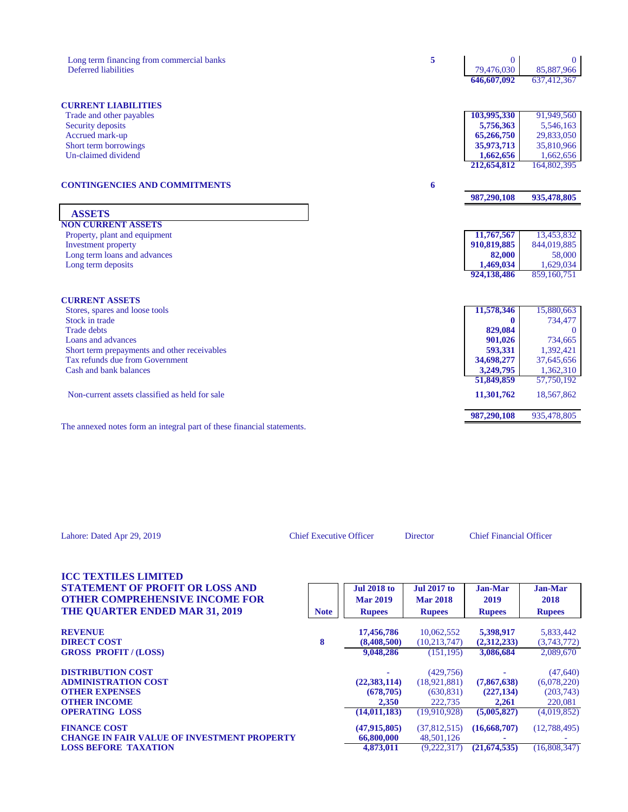| Long term financing from commercial banks<br>Deferred liabilities               | 5 | $\Omega$<br>79,476,030<br>646,607,092 | $\overline{0}$<br>85,887,966<br>637,412,367         |
|---------------------------------------------------------------------------------|---|---------------------------------------|-----------------------------------------------------|
| <b>CURRENT LIABILITIES</b>                                                      |   |                                       |                                                     |
| Trade and other payables                                                        |   | 103,995,330                           | 91,949,560                                          |
| Security deposits                                                               |   | 5,756,363                             | 5,546,163                                           |
| Accrued mark-up                                                                 |   | 65,266,750                            | 29,833,050                                          |
| Short term borrowings                                                           |   | 35,973,713                            | 35,810,966                                          |
| Un-claimed dividend                                                             |   | 1,662,656                             | 1,662,656                                           |
|                                                                                 |   | 212,654,812                           | 164,802,395                                         |
| <b>CONTINGENCIES AND COMMITMENTS</b>                                            | 6 |                                       |                                                     |
|                                                                                 |   | 987,290,108                           | 935,478,805                                         |
| <b>ASSETS</b>                                                                   |   |                                       |                                                     |
| <b>NON CURRENT ASSETS</b>                                                       |   |                                       |                                                     |
| Property, plant and equipment                                                   |   | 11,767,567                            | 13,453,832                                          |
| Investment property                                                             |   | 910,819,885                           | 844,019,885                                         |
| Long term loans and advances                                                    |   | 82,000                                | 58,000                                              |
| Long term deposits                                                              |   | 1,469,034                             | 1,629,034                                           |
|                                                                                 |   | 924,138,486                           | 859,160,751                                         |
| <b>CURRENT ASSETS</b>                                                           |   |                                       |                                                     |
| Stores, spares and loose tools                                                  |   | 11,578,346                            | 15,880,663                                          |
|                                                                                 |   | 0                                     | 734,477                                             |
|                                                                                 |   |                                       | $\Omega$                                            |
| Stock in trade                                                                  |   |                                       |                                                     |
| <b>Trade debts</b>                                                              |   | 829,084                               |                                                     |
| Loans and advances                                                              |   | 901,026                               | 734,665                                             |
| Short term prepayments and other receivables<br>Tax refunds due from Government |   | 593,331                               | 1,392,421                                           |
| Cash and bank balances                                                          |   | 34,698,277                            |                                                     |
|                                                                                 |   | 3,249,795<br>51,849,859               |                                                     |
| Non-current assets classified as held for sale                                  |   | 11,301,762                            | 37,645,656<br>1,362,310<br>57,750,192<br>18,567,862 |

| Lahore: Dated Apr 29, 2019                                                                                                                              | <b>Chief Executive Officer</b> |                                                         | <b>Director</b>                                                      | <b>Chief Financial Officer</b>                    |                                                                 |
|---------------------------------------------------------------------------------------------------------------------------------------------------------|--------------------------------|---------------------------------------------------------|----------------------------------------------------------------------|---------------------------------------------------|-----------------------------------------------------------------|
| <b>ICC TEXTILES LIMITED</b><br><b>STATEMENT OF PROFIT OR LOSS AND</b><br><b>OTHER COMPREHENSIVE INCOME FOR</b><br><b>THE QUARTER ENDED MAR 31, 2019</b> | <b>Note</b>                    | <b>Jul 2018 to</b><br><b>Mar 2019</b><br><b>Rupees</b>  | <b>Jul 2017 to</b><br><b>Mar 2018</b><br><b>Rupees</b>               | Jan-Mar<br>2019<br><b>Rupees</b>                  | Jan-Mar<br>2018<br><b>Rupees</b>                                |
| <b>REVENUE</b><br><b>DIRECT COST</b><br><b>GROSS PROFIT / (LOSS)</b>                                                                                    | 8                              | 17,456,786<br>(8,408,500)<br>9,048,286                  | 10,062,552<br>(10, 213, 747)<br>(151, 195)                           | 5,398,917<br>(2,312,233)<br>3,086,684             | 5,833,442<br>(3,743,772)<br>2,089,670                           |
| <b>DISTRIBUTION COST</b><br><b>ADMINISTRATION COST</b><br><b>OTHER EXPENSES</b><br><b>OTHER INCOME</b><br><b>OPERATING LOSS</b>                         |                                | (22, 383, 114)<br>(678, 705)<br>2,350<br>(14, 011, 183) | (429,756)<br>(18, 921, 881)<br>(630, 831)<br>222,735<br>(19,910,928) | (7,867,638)<br>(227, 134)<br>2,261<br>(5,005,827) | (47, 640)<br>(6,078,220)<br>(203,743)<br>220,081<br>(4,019,852) |
| <b>FINANCE COST</b><br><b>CHANGE IN FAIR VALUE OF INVESTMENT PROPERTY</b><br><b>LOSS BEFORE TAXATION</b>                                                |                                | (47,915,805)<br>66,800,000<br>4,873,011                 | (37,812,515)<br>48,501,126<br>(9,222,317)                            | (16, 668, 707)<br>(21,674,535)                    | (12,788,495)<br>(16,808,347)                                    |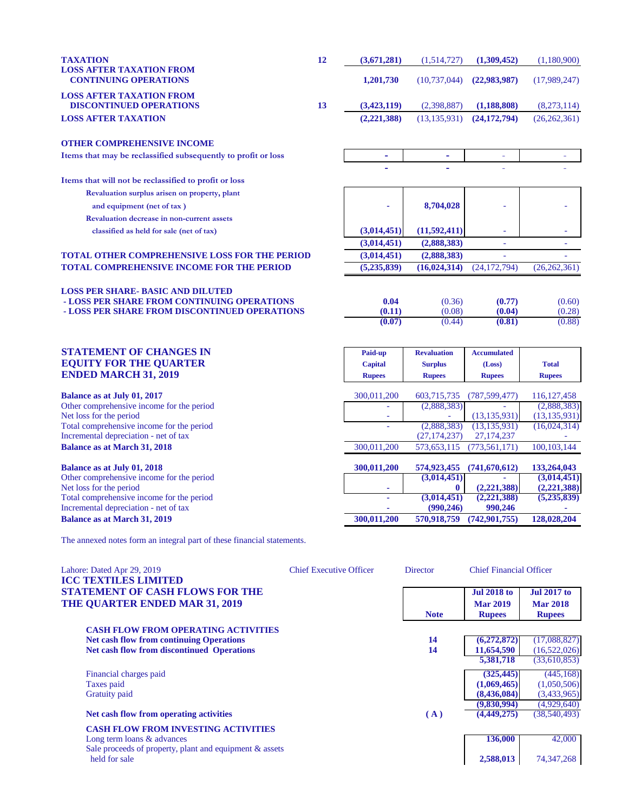| <b>TAXATION</b>                                                   | 12 | (3,671,281) | (1,514,727)    | (1,309,452)  | (1,180,900)    |
|-------------------------------------------------------------------|----|-------------|----------------|--------------|----------------|
| <b>LOSS AFTER TAXATION FROM</b><br><b>CONTINUING OPERATIONS</b>   |    | 1.201.730   | (10.737.044)   | (22.983.987) | (17,989,247)   |
| <b>LOSS AFTER TAXATION FROM</b><br><b>DISCONTINUED OPERATIONS</b> | 13 | (3.423.119) | (2.398.887)    | (1.188.808)  | (8,273,114)    |
| <b>LOSS AFTER TAXATION</b>                                        |    | (2,221,388) | (13, 135, 931) | (24.172.794) | (26, 262, 361) |
| <b>OTHER COMPREHENSIVE INCOME</b>                                 |    |             |                |              |                |

**Items that may be reclassified subsequently to profit or loss** 

**Items that will not be reclassified to profit or loss**

**Revaluation surplus arisen on property, plant and equipment (net of tax )**  $\qquad \qquad$  **8,704,028 Revaluation decrease in non-current assets**

 **classified as held for sale (net of tax)**  $(3,014,451)$   $(11,592,411)$ 

## **TOTAL OTHER COMPREHENSIVE LOSS FOR THE PERIOD (3,014,451) (2,888,383)** - -

# **TOTAL COMPREHENSIVE INCOME FOR THE PERIOD (5,235,839) (16,024,314)** (24,172,794) (26,262,361) **LOSS PER SHARE- BASIC AND DILUTED**

 **- LOSS PER SHARE FROM CONTINUING OPERATIONS**  $\begin{array}{cccc} 0.04 & (0.36) & (0.77) & (0.60) \\ - \text{LOSS PER SHARE FROM DISCONTINUED OPERATIONS} & (0.11) & (0.08) & (0.04) \\ \end{array}$ **- LOSS PER SHARE FROM DISCONTINUED OPERATIONS** (0.11) (0.08) (0.04) (0.28)<br>(0.07) (0.44) (0.81) (0.88)

#### **STATEMENT OF CHANGES IN Paid-up Revaluation Accumulated EQUITY FOR THE QUARTER Capital Capital Surplus** (Loss) Total **ENDED MARCH 31, 2019**

**Balance as at July 01, 2017** Other comprehensive income for the period Net loss for the period Total comprehensive income for the period Incremental depreciation - net of tax **Balance as at March 31, 2018** 

**Balance as at July 01, 2018** Other comprehensive income for the period **(3,014,451) - (3,014,451)** Net loss for the period Total comprehensive income for the period Incremental depreciation - net of tax **Balance as at March 31, 2019 300,011,200 570,918,759 (742,901,755) 128,028,204**

| <b>Kupees</b> | <b>Kupees</b>  | <b>Kupees</b>                                                         | <b>Kupees</b>                        |
|---------------|----------------|-----------------------------------------------------------------------|--------------------------------------|
|               |                |                                                                       |                                      |
| 300,011,200   | 603,715,735    | (787, 599, 477)                                                       | 116, 127, 458                        |
|               | (2,888,383)    |                                                                       | (2,888,383)                          |
|               |                | (13, 135, 931)                                                        | (13, 135, 931)                       |
|               | (2,888,383)    | (13, 135, 931)                                                        | (16,024,314)                         |
|               | (27, 174, 237) | 27, 174, 237                                                          |                                      |
| 300,011,200   | 573,653,115    | (773, 561, 171)                                                       | 100, 103, 144                        |
| 300,011,200   | 574,923,455    | (741, 670, 612)                                                       | 133,264,043                          |
|               | (3,014,451)    |                                                                       | (3,014,451)                          |
|               | 0              | (2,221,388)                                                           | (2,221,388)                          |
|               | (3,014,451)    | (2,221,388)                                                           | (5,235,839)                          |
|               | (990, 246)     | 990,246                                                               |                                      |
|               | ----------     | $\mathbf{A}$ , and $\mathbf{A}$ , and $\mathbf{A}$ , and $\mathbf{A}$ | $\overline{1}$ and an $\overline{1}$ |

 **- -** - -

 **(3,014,451) (2,888,383)** - -

 **(0.07)** (0.44) **(0.81)** (0.88)

The annexed notes form an integral part of these financial statements.

| <b>Chief Executive Officer</b>                          | <b>Director</b> |                    |                                |
|---------------------------------------------------------|-----------------|--------------------|--------------------------------|
|                                                         |                 | <b>Jul 2018 to</b> | <b>Jul 2017 to</b>             |
|                                                         |                 | <b>Mar 2019</b>    | <b>Mar 2018</b>                |
|                                                         | <b>Note</b>     | <b>Rupees</b>      | <b>Rupees</b>                  |
| <b>CASH FLOW FROM OPERATING ACTIVITIES</b>              |                 |                    |                                |
|                                                         | 14              | (6,272,872)        | (17,088,827)                   |
|                                                         | 14              | 11,654,590         | (16,522,026)                   |
|                                                         |                 | 5,381,718          | (33,610,853)                   |
|                                                         |                 | (325, 445)         | (445, 168)                     |
|                                                         |                 | (1,069,465)        | (1,050,506)                    |
|                                                         |                 | (8,436,084)        | (3,433,965)                    |
|                                                         |                 | (9,830,994)        | (4,929,640)                    |
|                                                         | (A)             | (4,449,275)        | (38, 540, 493)                 |
|                                                         |                 |                    |                                |
|                                                         |                 | 136,000            | 42,000                         |
| Sale proceeds of property, plant and equipment & assets |                 |                    |                                |
|                                                         |                 | 2,588,013          | 74, 347, 268                   |
|                                                         |                 |                    | <b>Chief Financial Officer</b> |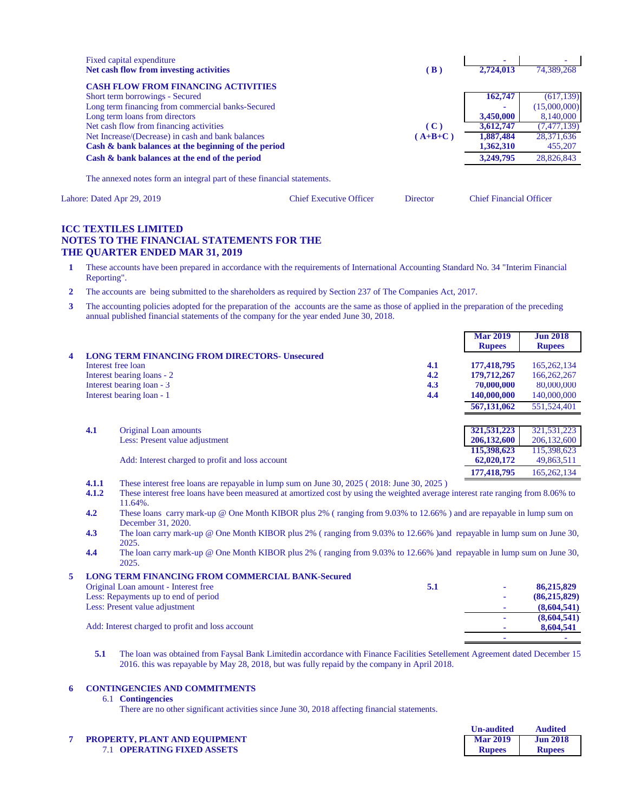| Fixed capital expenditure<br>Net cash flow from investing activities   | (B)       | ۰<br>2.724,013 | 74,389,268    |
|------------------------------------------------------------------------|-----------|----------------|---------------|
| <b>CASH FLOW FROM FINANCING ACTIVITIES</b>                             |           |                |               |
| Short term borrowings - Secured                                        |           | 162,747        | (617, 139)    |
| Long term financing from commercial banks-Secured                      |           |                | (15,000,000)  |
| Long term loans from directors                                         |           | 3,450,000      | 8,140,000     |
| Net cash flow from financing activities                                | (C)       | 3,612,747      | (7, 477, 139) |
| Net Increase/(Decrease) in cash and bank balances                      | $A+B+C$ ) | 1,887,484      | 28,371,636    |
| Cash & bank balances at the beginning of the period                    |           | 1,362,310      | 455,207       |
| Cash & bank balances at the end of the period                          |           | 3.249.795      | 28,826,843    |
| The annexed notes form an integral part of these financial statements. |           |                |               |

Lahore: Dated Apr 29, 2019 Chief Executive Officer Director Chief Financial Officer

#### **ICC TEXTILES LIMITED NOTES TO THE FINANCIAL STATEMENTS FOR THE THE QUARTER ENDED MAR 31, 2019**

- **1** These accounts have been prepared in accordance with the requirements of International Accounting Standard No. 34 "Interim Financial Reporting".
- **2** The accounts are being submitted to the shareholders as required by Section 237 of The Companies Act, 2017.
- **3** The accounting policies adopted for the preparation of the accounts are the same as those of applied in the preparation of the preceding annual published financial statements of the company for the year ended June 30, 2018.

|     |                                                      |          | <b>Mar 2019</b><br><b>Rupees</b> | <b>Jun 2018</b><br><b>Rupees</b> |
|-----|------------------------------------------------------|----------|----------------------------------|----------------------------------|
|     | <b>LONG TERM FINANCING FROM DIRECTORS- Unsecured</b> |          |                                  |                                  |
|     | Interest free loan                                   | 4.1      | 177,418,795                      | 165, 262, 134                    |
|     | Interest bearing loans - 2                           | 4.2      | 179,712,267                      | 166,262,267                      |
|     | Interest bearing loan - 3                            | 4.3      | 70,000,000                       | 80,000,000                       |
|     | Interest bearing loan - 1                            | 4.4      | 140,000,000                      | 140,000,000                      |
|     |                                                      |          | 567,131,062                      | 551,524,401                      |
| 4.1 | Original Loan amounts                                |          | 321,531,223                      | 321,531,223                      |
|     | Less: Present value adjustment                       |          | 206,132,600                      | 206, 132, 600                    |
|     |                                                      |          | 115,398,623                      | 115,398,623                      |
|     | Add: Interest charged to profit and loss account     |          | 62,020,172                       | 49,863,511                       |
|     | .                                                    | -------- | 177,418,795                      | 165,262,134                      |

- **4.1.1** These interest free loans are repayable in lump sum on June 30, 2025 ( 2018: June 30, 2025 )
- **4.1.2** These interest free loans have been measured at amortized cost by using the weighted average interest rate ranging from 8.06% to 11.64%.
- **4.2** These loans carry mark-up @ One Month KIBOR plus 2% ( ranging from 9.03% to 12.66% ) and are repayable in lump sum on December 31, 2020.
- **4.3** The loan carry mark-up @ One Month KIBOR plus 2% ( ranging from 9.03% to 12.66% )and repayable in lump sum on June 30, 2025.
- **4.4** The loan carry mark-up @ One Month KIBOR plus 2% ( ranging from 9.03% to 12.66% )and repayable in lump sum on June 30, 2025.

| <b>LONG TERM FINANCING FROM COMMERCIAL BANK-Secured</b> |     |   |                |
|---------------------------------------------------------|-----|---|----------------|
| Original Loan amount - Interest free                    | 5.1 | ۰ | 86,215,829     |
| Less: Repayments up to end of period                    |     | ۰ | (86, 215, 829) |
| Less: Present value adjustment                          |     | ۰ | (8,604,541)    |
|                                                         |     |   | (8,604,541)    |
| Add: Interest charged to profit and loss account        |     |   | 8,604,541      |
|                                                         |     |   |                |

**5.1** The loan was obtained from Faysal Bank Limitedin accordance with Finance Facilities Setellement Agreement dated December 15, 2016. this was repayable by May 28, 2018, but was fully repaid by the company in April 2018.

#### **6 CONTINGENCIES AND COMMITMENTS**

#### 6.1 **Contingencies**

There are no other significant activities since June 30, 2018 affecting financial statements.

### **7 PROPERTY, PLANT AND EQUIPMENT**

7.1 **OPERATING FIXED ASSETS Rupees Rupees**

| <b>Un-audited</b> | <b>Audited</b>  |
|-------------------|-----------------|
| <b>Mar 2019</b>   | <b>Jun 2018</b> |
| <b>Rupees</b>     | <b>Rupees</b>   |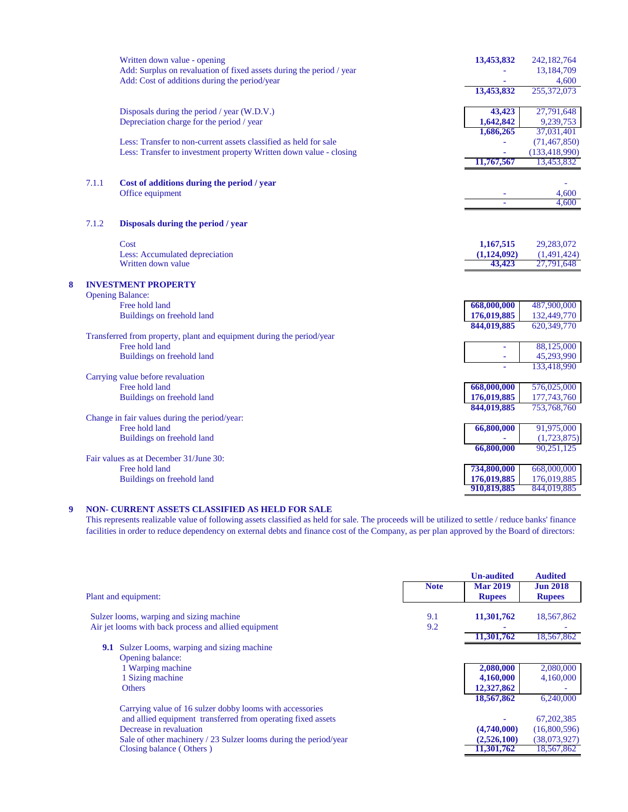|   |       | Written down value - opening                                          | 13,453,832  | 242,182,764     |
|---|-------|-----------------------------------------------------------------------|-------------|-----------------|
|   |       | Add: Surplus on revaluation of fixed assets during the period / year  |             | 13,184,709      |
|   |       | Add: Cost of additions during the period/year                         |             | 4,600           |
|   |       |                                                                       | 13,453,832  | 255,372,073     |
|   |       | Disposals during the period / year (W.D.V.)                           | 43,423      | 27,791,648      |
|   |       | Depreciation charge for the period / year                             | 1,642,842   | 9,239,753       |
|   |       |                                                                       | 1,686,265   | 37,031,401      |
|   |       | Less: Transfer to non-current assets classified as held for sale      |             | (71, 467, 850)  |
|   |       | Less: Transfer to investment property Written down value - closing    |             | (133, 418, 990) |
|   |       |                                                                       | 11,767,567  | 13,453,832      |
|   | 7.1.1 | Cost of additions during the period / year                            |             |                 |
|   |       | Office equipment                                                      |             | 4,600           |
|   |       |                                                                       |             | 4,600           |
|   | 7.1.2 | Disposals during the period / year                                    |             |                 |
|   |       | Cost                                                                  | 1,167,515   | 29,283,072      |
|   |       | Less: Accumulated depreciation                                        | (1,124,092) | (1,491,424)     |
|   |       | Written down value                                                    | 43,423      | 27,791,648      |
| 8 |       | <b>INVESTMENT PROPERTY</b>                                            |             |                 |
|   |       | <b>Opening Balance:</b>                                               |             |                 |
|   |       | Free hold land                                                        | 668,000,000 | 487,900,000     |
|   |       | Buildings on freehold land                                            | 176,019,885 | 132,449,770     |
|   |       |                                                                       | 844,019,885 | 620,349,770     |
|   |       | Transferred from property, plant and equipment during the period/year |             |                 |
|   |       | Free hold land                                                        |             | 88,125,000      |
|   |       | Buildings on freehold land                                            | ×,          | 45,293,990      |
|   |       |                                                                       |             | 133,418,990     |
|   |       | Carrying value before revaluation                                     |             |                 |
|   |       | Free hold land                                                        | 668,000,000 | 576,025,000     |
|   |       | Buildings on freehold land                                            | 176,019,885 | 177,743,760     |
|   |       | Change in fair values during the period/year:                         | 844,019,885 | 753,768,760     |
|   |       | Free hold land                                                        | 66,800,000  | 91,975,000      |
|   |       | Buildings on freehold land                                            |             | (1,723,875)     |
|   |       |                                                                       | 66,800,000  | 90,251,125      |
|   |       | Fair values as at December 31/June 30:                                |             |                 |
|   |       | Free hold land                                                        | 734,800,000 | 668,000,000     |
|   |       | Buildings on freehold land                                            | 176,019,885 | 176,019,885     |
|   |       |                                                                       | 910,819,885 | 844,019,885     |

#### **9 NON- CURRENT ASSETS CLASSIFIED AS HELD FOR SALE**

This represents realizable value of following assets classified as held for sale. The proceeds will be utilized to settle / reduce banks' finance facilities in order to reduce dependency on external debts and finance cost of the Company, as per plan approved by the Board of directors:

|             | <b>Un-audited</b> | <b>Audited</b>           |
|-------------|-------------------|--------------------------|
| <b>Note</b> | <b>Mar 2019</b>   | <b>Jun 2018</b>          |
|             | <b>Rupees</b>     | <b>Rupees</b>            |
|             |                   |                          |
|             |                   | 18,567,862               |
| 9.2         |                   |                          |
|             |                   | 18,567,862               |
|             |                   |                          |
|             |                   |                          |
|             | 2,080,000         | 2,080,000                |
|             | 4,160,000         | 4,160,000                |
|             | 12,327,862        |                          |
|             | 18,567,862        | 6,240,000                |
|             |                   |                          |
|             |                   | 67, 202, 385             |
|             | (4,740,000)       | (16,800,596)             |
|             | (2,526,100)       | (38,073,927)             |
|             | 11,301,762        | 18,567,862               |
|             | 9.1               | 11,301,762<br>11,301,762 |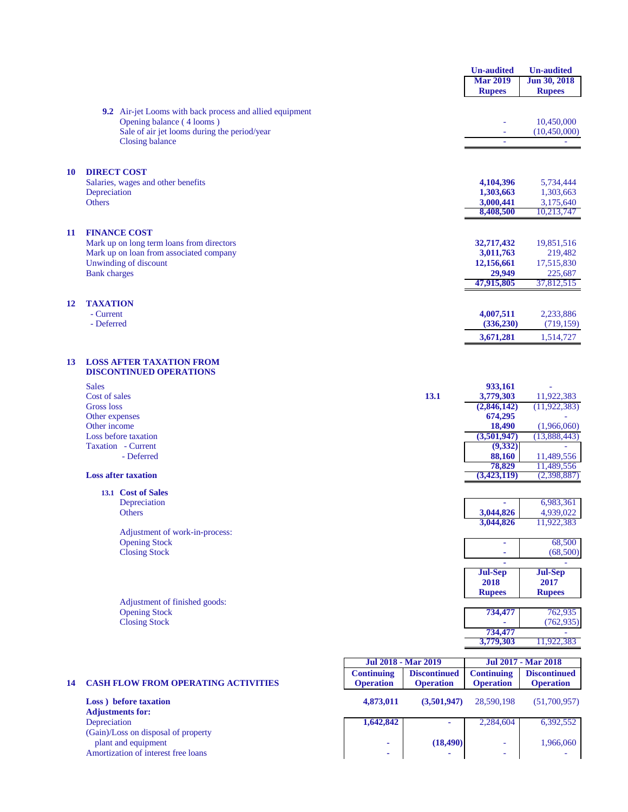|    |                                                                           |                                                 | <b>Un-audited</b>        | <b>Un-audited</b>          |
|----|---------------------------------------------------------------------------|-------------------------------------------------|--------------------------|----------------------------|
|    |                                                                           |                                                 | <b>Mar 2019</b>          | Jun 30, 2018               |
|    |                                                                           |                                                 | <b>Rupees</b>            | <b>Rupees</b>              |
|    |                                                                           |                                                 |                          |                            |
|    | 9.2 Air-jet Looms with back process and allied equipment                  |                                                 |                          |                            |
|    | Opening balance (4 looms)<br>Sale of air jet looms during the period/year |                                                 |                          | 10,450,000<br>(10,450,000) |
|    | <b>Closing balance</b>                                                    |                                                 |                          |                            |
|    |                                                                           |                                                 |                          |                            |
|    |                                                                           |                                                 |                          |                            |
| 10 | <b>DIRECT COST</b>                                                        |                                                 |                          |                            |
|    | Salaries, wages and other benefits                                        |                                                 | 4,104,396                | 5,734,444                  |
|    | Depreciation                                                              |                                                 | 1,303,663                | 1,303,663                  |
|    | <b>Others</b>                                                             |                                                 | 3,000,441<br>8,408,500   | 3,175,640<br>10,213,747    |
|    |                                                                           |                                                 |                          |                            |
| 11 | <b>FINANCE COST</b>                                                       |                                                 |                          |                            |
|    | Mark up on long term loans from directors                                 |                                                 | 32,717,432               | 19,851,516                 |
|    | Mark up on loan from associated company                                   |                                                 | 3,011,763                | 219,482                    |
|    | Unwinding of discount                                                     |                                                 | 12,156,661               | 17,515,830                 |
|    | <b>Bank</b> charges                                                       |                                                 | 29,949                   | 225,687                    |
|    |                                                                           |                                                 | 47,915,805               | 37,812,515                 |
| 12 | <b>TAXATION</b>                                                           |                                                 |                          |                            |
|    | - Current                                                                 |                                                 | 4,007,511                | 2,233,886                  |
|    | - Deferred                                                                |                                                 | (336, 230)               | (719, 159)                 |
|    |                                                                           |                                                 | 3,671,281                | 1,514,727                  |
|    |                                                                           |                                                 |                          |                            |
| 13 | <b>LOSS AFTER TAXATION FROM</b>                                           |                                                 |                          |                            |
|    | <b>DISCONTINUED OPERATIONS</b>                                            |                                                 |                          |                            |
|    | <b>Sales</b>                                                              |                                                 | 933,161                  |                            |
|    | Cost of sales<br>Gross loss                                               | 13.1                                            | 3,779,303<br>(2,846,142) | 11,922,383                 |
|    | Other expenses                                                            |                                                 | 674,295                  | (11, 922, 383)             |
|    | Other income                                                              |                                                 | 18,490                   | (1,966,060)                |
|    | Loss before taxation                                                      |                                                 | (3,501,947)              | (13,888,443)               |
|    | Taxation - Current                                                        |                                                 | (9, 332)                 |                            |
|    | - Deferred                                                                |                                                 | 88,160                   | 11,489,556                 |
|    |                                                                           |                                                 | 78,829                   | 11,489,556                 |
|    | <b>Loss after taxation</b>                                                |                                                 | (3,423,119)              | (2,398,887)                |
|    | 13.1 Cost of Sales                                                        |                                                 |                          |                            |
|    | Depreciation                                                              |                                                 |                          | 6,983,361                  |
|    | <b>Others</b>                                                             |                                                 | 3,044,826<br>3,044,826   | 4,939,022                  |
|    | Adjustment of work-in-process:                                            |                                                 |                          | 11,922,383                 |
|    | <b>Opening Stock</b>                                                      |                                                 | ۰                        | 68,500                     |
|    | <b>Closing Stock</b>                                                      |                                                 |                          | (68,500)                   |
|    |                                                                           |                                                 |                          |                            |
|    |                                                                           |                                                 | <b>Jul-Sep</b>           | <b>Jul-Sep</b>             |
|    |                                                                           |                                                 | 2018                     | 2017                       |
|    | Adjustment of finished goods:                                             |                                                 | <b>Rupees</b>            | <b>Rupees</b>              |
|    | <b>Opening Stock</b>                                                      |                                                 | 734,477                  | 762,935                    |
|    | <b>Closing Stock</b>                                                      |                                                 |                          | (762, 935)                 |
|    |                                                                           |                                                 | 734,477                  |                            |
|    |                                                                           |                                                 | 3,779,303                | 11,922,383                 |
|    |                                                                           | Jul 2018 - Mar 2019                             |                          | Jul 2017 - Mar 2018        |
|    |                                                                           | Continuing Discontinued Continuing Discontinued |                          |                            |

|    |                                                                                                   | <u> Jul 2018 - Mar 2019</u>           |                                         | JUL 2017 - Mar 2018                                  |                                         |
|----|---------------------------------------------------------------------------------------------------|---------------------------------------|-----------------------------------------|------------------------------------------------------|-----------------------------------------|
| 14 | <b>CASH FLOW FROM OPERATING ACTIVITIES</b>                                                        | <b>Continuing</b><br><b>Operation</b> | <b>Discontinued</b><br><b>Operation</b> | <b>Continuing</b><br><b>Operation</b>                | <b>Discontinued</b><br><b>Operation</b> |
|    | <b>Loss</b> ) before taxation<br><b>Adjustments for:</b>                                          | 4,873,011                             | (3.501.947)                             | 28,590,198                                           | (51,700,957)                            |
|    | Depreciation                                                                                      | 1,642,842                             |                                         | 2.284,604                                            | 6,392,552                               |
|    | (Gain)/Loss on disposal of property<br>plant and equipment<br>Amortization of interest free loans | ۰                                     | (18, 490)                               | $\overline{\phantom{a}}$<br>$\overline{\phantom{a}}$ | 1,966,060                               |